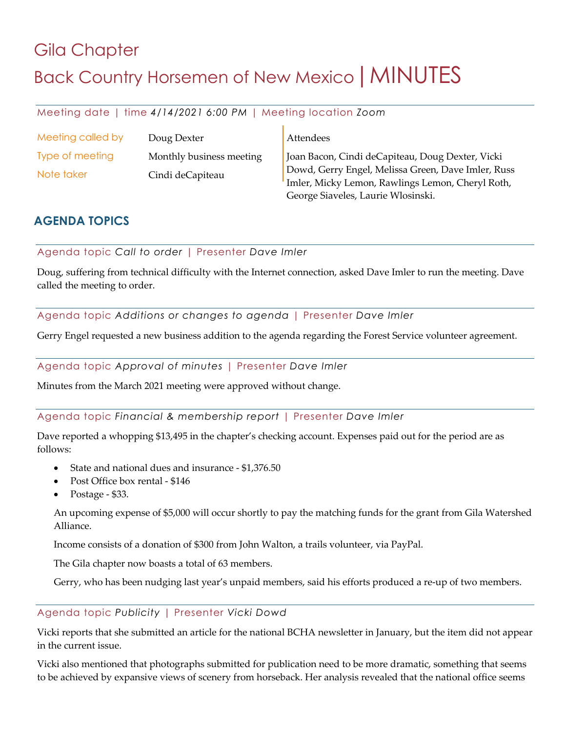# Gila Chapter Back Country Horsemen of New Mexico | MINUTES

Meeting date | time *4/14/2021 6:00 PM* | Meeting location *Zoom*

| Meeting called by | Doug Dexter              | Attendees                                                                                                                                    |
|-------------------|--------------------------|----------------------------------------------------------------------------------------------------------------------------------------------|
| Type of meeting   | Monthly business meeting | Joan Bacon, Cindi deCapiteau, Doug Dexter, Vicki                                                                                             |
| Note taker        | Cindi deCapiteau         | Dowd, Gerry Engel, Melissa Green, Dave Imler, Russ<br>Imler, Micky Lemon, Rawlings Lemon, Cheryl Roth,<br>George Siaveles, Laurie Wlosinski. |

## **AGENDA TOPICS**

Agenda topic *Call to order* | Presenter *Dave Imler*

Doug, suffering from technical difficulty with the Internet connection, asked Dave Imler to run the meeting. Dave called the meeting to order.

Agenda topic *Additions or changes to agenda* | Presenter *Dave Imler*

Gerry Engel requested a new business addition to the agenda regarding the Forest Service volunteer agreement.

Agenda topic *Approval of minutes* | Presenter *Dave Imler*

Minutes from the March 2021 meeting were approved without change.

Agenda topic *Financial & membership report* | Presenter *Dave Imler*

Dave reported a whopping \$13,495 in the chapter's checking account. Expenses paid out for the period are as follows:

- State and national dues and insurance \$1,376.50
- Post Office box rental \$146
- Postage \$33.

An upcoming expense of \$5,000 will occur shortly to pay the matching funds for the grant from Gila Watershed Alliance.

Income consists of a donation of \$300 from John Walton, a trails volunteer, via PayPal.

The Gila chapter now boasts a total of 63 members.

Gerry, who has been nudging last year's unpaid members, said his efforts produced a re-up of two members.

#### Agenda topic *Publicity* | Presenter *Vicki Dowd*

Vicki reports that she submitted an article for the national BCHA newsletter in January, but the item did not appear in the current issue.

Vicki also mentioned that photographs submitted for publication need to be more dramatic, something that seems to be achieved by expansive views of scenery from horseback. Her analysis revealed that the national office seems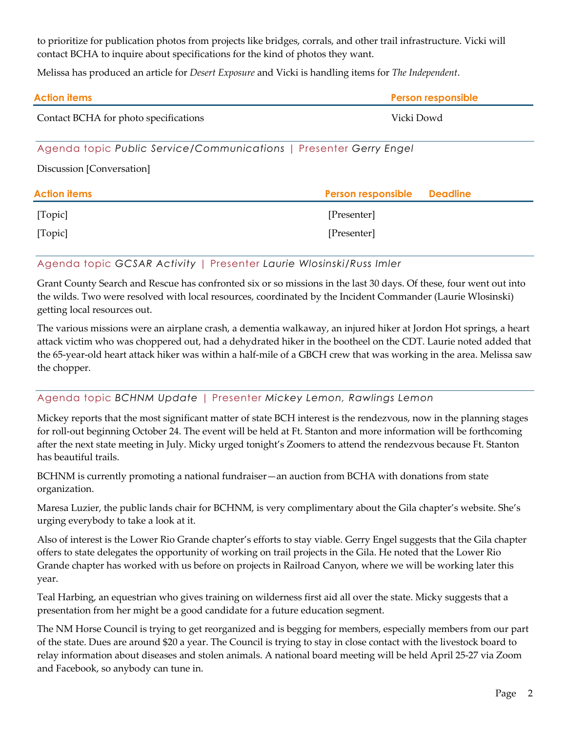to prioritize for publication photos from projects like bridges, corrals, and other trail infrastructure. Vicki will contact BCHA to inquire about specifications for the kind of photos they want.

Melissa has produced an article for *Desert Exposure* and Vicki is handling items for *The Independent*.

| <b>Action items</b>                                                | <b>Person responsible</b>                    |
|--------------------------------------------------------------------|----------------------------------------------|
| Contact BCHA for photo specifications                              | Vicki Dowd                                   |
| Agenda topic Public Service/Communications   Presenter Gerry Engel |                                              |
| Discussion [Conversation]                                          |                                              |
| <b>Action items</b>                                                | <b>Deadline</b><br><b>Person responsible</b> |
| [Topic]                                                            | [Presenter]                                  |
| [Topic]                                                            | [Presenter]                                  |
|                                                                    |                                              |

#### Agenda topic *GCSAR Activity* | Presenter *Laurie Wlosinski/Russ Imler*

Grant County Search and Rescue has confronted six or so missions in the last 30 days. Of these, four went out into the wilds. Two were resolved with local resources, coordinated by the Incident Commander (Laurie Wlosinski) getting local resources out.

The various missions were an airplane crash, a dementia walkaway, an injured hiker at Jordon Hot springs, a heart attack victim who was choppered out, had a dehydrated hiker in the bootheel on the CDT. Laurie noted added that the 65-year-old heart attack hiker was within a half-mile of a GBCH crew that was working in the area. Melissa saw the chopper.

#### Agenda topic *BCHNM Update* | Presenter *Mickey Lemon, Rawlings Lemon*

Mickey reports that the most significant matter of state BCH interest is the rendezvous, now in the planning stages for roll-out beginning October 24. The event will be held at Ft. Stanton and more information will be forthcoming after the next state meeting in July. Micky urged tonight's Zoomers to attend the rendezvous because Ft. Stanton has beautiful trails.

BCHNM is currently promoting a national fundraiser—an auction from BCHA with donations from state organization.

Maresa Luzier, the public lands chair for BCHNM, is very complimentary about the Gila chapter's website. She's urging everybody to take a look at it.

Also of interest is the Lower Rio Grande chapter's efforts to stay viable. Gerry Engel suggests that the Gila chapter offers to state delegates the opportunity of working on trail projects in the Gila. He noted that the Lower Rio Grande chapter has worked with us before on projects in Railroad Canyon, where we will be working later this year.

Teal Harbing, an equestrian who gives training on wilderness first aid all over the state. Micky suggests that a presentation from her might be a good candidate for a future education segment.

The NM Horse Council is trying to get reorganized and is begging for members, especially members from our part of the state. Dues are around \$20 a year. The Council is trying to stay in close contact with the livestock board to relay information about diseases and stolen animals. A national board meeting will be held April 25-27 via Zoom and Facebook, so anybody can tune in.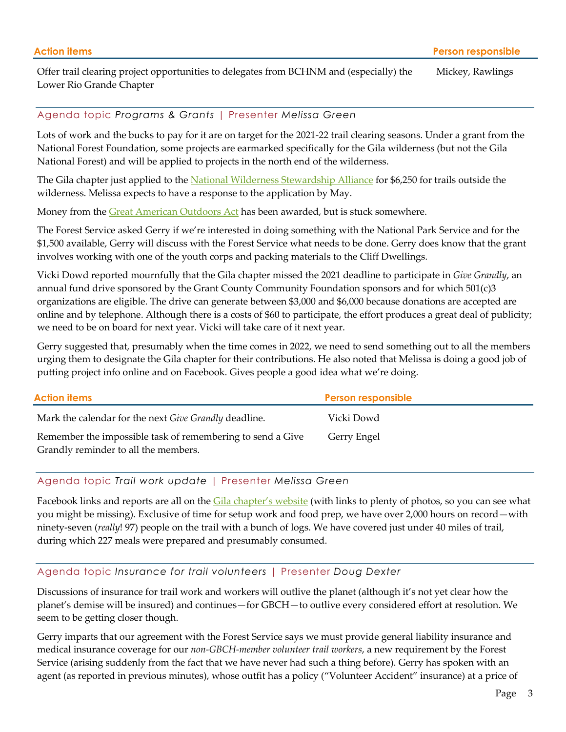Offer trail clearing project opportunities to delegates from BCHNM and (especially) the Lower Rio Grande Chapter Mickey, Rawlings

#### Agenda topic *Programs & Grants* | Presenter *Melissa Green*

Lots of work and the bucks to pay for it are on target for the 2021-22 trail clearing seasons. Under a grant from the National Forest Foundation, some projects are earmarked specifically for the Gila wilderness (but not the Gila National Forest) and will be applied to projects in the north end of the wilderness.

The Gila chapter just applied to the National Wilderness Stewardship Alliance for \$6,250 for trails outside the wilderness. Melissa expects to have a response to the application by May.

Money from the Great American Outdoors Act has been awarded, but is stuck somewhere.

The Forest Service asked Gerry if we're interested in doing something with the National Park Service and for the \$1,500 available, Gerry will discuss with the Forest Service what needs to be done. Gerry does know that the grant involves working with one of the youth corps and packing materials to the Cliff Dwellings.

Vicki Dowd reported mournfully that the Gila chapter missed the 2021 deadline to participate in *Give Grandly*, an annual fund drive sponsored by the Grant County Community Foundation sponsors and for which 501(c)3 organizations are eligible. The drive can generate between \$3,000 and \$6,000 because donations are accepted are online and by telephone. Although there is a costs of \$60 to participate, the effort produces a great deal of publicity; we need to be on board for next year. Vicki will take care of it next year.

Gerry suggested that, presumably when the time comes in 2022, we need to send something out to all the members urging them to designate the Gila chapter for their contributions. He also noted that Melissa is doing a good job of putting project info online and on Facebook. Gives people a good idea what we're doing.

| <b>Action items</b>                                        | <b>Person responsible</b> |
|------------------------------------------------------------|---------------------------|
| Mark the calendar for the next Give Grandly deadline.      | Vicki Dowd                |
| Remember the impossible task of remembering to send a Give | Gerry Engel               |
| Grandly reminder to all the members.                       |                           |

#### Agenda topic *Trail work update* | Presenter *Melissa Green*

Facebook links and reports are all on the Gila chapter's website (with links to plenty of photos, so you can see what you might be missing). Exclusive of time for setup work and food prep, we have over 2,000 hours on record—with ninety-seven (*really*! 97) people on the trail with a bunch of logs. We have covered just under 40 miles of trail, during which 227 meals were prepared and presumably consumed.

#### Agenda topic *Insurance for trail volunteers* | Presenter *Doug Dexter*

Discussions of insurance for trail work and workers will outlive the planet (although it's not yet clear how the planet's demise will be insured) and continues—for GBCH—to outlive every considered effort at resolution. We seem to be getting closer though.

Gerry imparts that our agreement with the Forest Service says we must provide general liability insurance and medical insurance coverage for our *non-GBCH-member volunteer trail workers*, a new requirement by the Forest Service (arising suddenly from the fact that we have never had such a thing before). Gerry has spoken with an agent (as reported in previous minutes), whose outfit has a policy ("Volunteer Accident" insurance) at a price of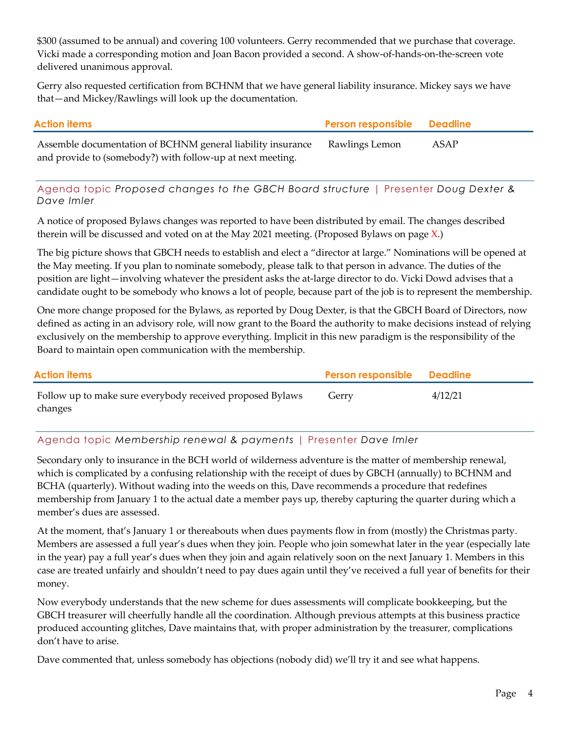\$300 (assumed to be annual) and covering 100 volunteers. Gerry recommended that we purchase that coverage. Vicki made a corresponding motion and Joan Bacon provided a second. A show-of-hands-on-the-screen vote delivered unanimous approval.

Gerry also requested certification from BCHNM that we have general liability insurance. Mickey says we have that—and Mickey/Rawlings will look up the documentation.

| <b>Action items</b>                                         | <b>Person responsible Deadline</b> |      |
|-------------------------------------------------------------|------------------------------------|------|
| Assemble documentation of BCHNM general liability insurance | Rawlings Lemon                     | ASAP |
| and provide to (somebody?) with follow-up at next meeting.  |                                    |      |

Agenda topic *Proposed changes to the GBCH Board structure* | Presenter *Doug Dexter & Dave Imler*

A notice of proposed Bylaws changes was reported to have been distributed by email. The changes described therein will be discussed and voted on at the May 2021 meeting. (Proposed Bylaws on page  $X$ .)

The big picture shows that GBCH needs to establish and elect a "director at large." Nominations will be opened at the May meeting. If you plan to nominate somebody, please talk to that person in advance. The duties of the position are light—involving whatever the president asks the at-large director to do. Vicki Dowd advises that a candidate ought to be somebody who knows a lot of people, because part of the job is to represent the membership.

One more change proposed for the Bylaws, as reported by Doug Dexter, is that the GBCH Board of Directors, now defined as acting in an advisory role, will now grant to the Board the authority to make decisions instead of relying exclusively on the membership to approve everything. Implicit in this new paradigm is the responsibility of the Board to maintain open communication with the membership.

| <b>Action items</b>                                                  | <b>Person responsible Deadline</b> |         |
|----------------------------------------------------------------------|------------------------------------|---------|
| Follow up to make sure everybody received proposed Bylaws<br>changes | Gerry                              | 4/12/21 |

Agenda topic *Membership renewal & payments* | Presenter *Dave Imler*

Secondary only to insurance in the BCH world of wilderness adventure is the matter of membership renewal, which is complicated by a confusing relationship with the receipt of dues by GBCH (annually) to BCHNM and BCHA (quarterly). Without wading into the weeds on this, Dave recommends a procedure that redefines membership from January 1 to the actual date a member pays up, thereby capturing the quarter during which a member's dues are assessed.

At the moment, that's January 1 or thereabouts when dues payments flow in from (mostly) the Christmas party. Members are assessed a full year's dues when they join. People who join somewhat later in the year (especially late in the year) pay a full year's dues when they join and again relatively soon on the next January 1. Members in this case are treated unfairly and shouldn't need to pay dues again until they've received a full year of benefits for their money.

Now everybody understands that the new scheme for dues assessments will complicate bookkeeping, but the GBCH treasurer will cheerfully handle all the coordination. Although previous attempts at this business practice produced accounting glitches, Dave maintains that, with proper administration by the treasurer, complications don't have to arise.

Dave commented that, unless somebody has objections (nobody did) we'll try it and see what happens.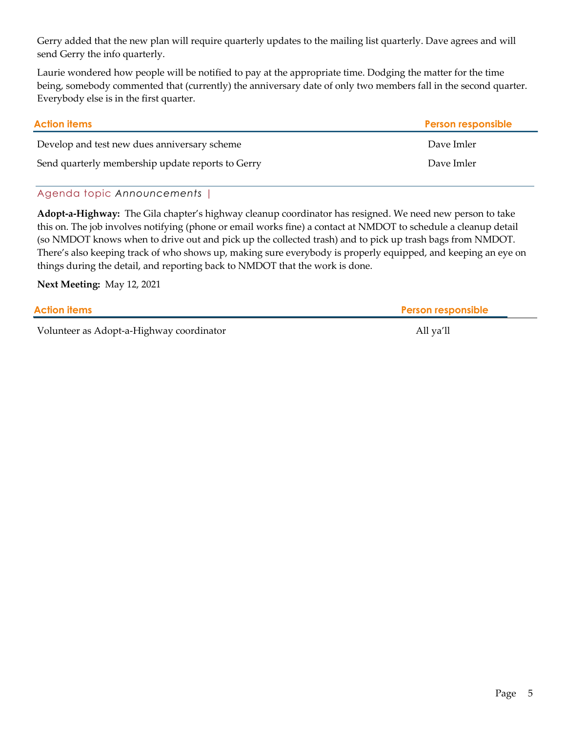Gerry added that the new plan will require quarterly updates to the mailing list quarterly. Dave agrees and will send Gerry the info quarterly.

Laurie wondered how people will be notified to pay at the appropriate time. Dodging the matter for the time being, somebody commented that (currently) the anniversary date of only two members fall in the second quarter. Everybody else is in the first quarter.

| <b>Action items</b>                               | <b>Person responsible</b> |
|---------------------------------------------------|---------------------------|
| Develop and test new dues anniversary scheme      | Dave Imler                |
| Send quarterly membership update reports to Gerry | Dave Imler                |

#### Agenda topic *Announcements* |

**Adopt-a-Highway:** The Gila chapter's highway cleanup coordinator has resigned. We need new person to take this on. The job involves notifying (phone or email works fine) a contact at NMDOT to schedule a cleanup detail (so NMDOT knows when to drive out and pick up the collected trash) and to pick up trash bags from NMDOT. There's also keeping track of who shows up, making sure everybody is properly equipped, and keeping an eye on things during the detail, and reporting back to NMDOT that the work is done.

**Next Meeting:** May 12, 2021

| <b>Action items</b> | <b>Person responsible</b> |  |
|---------------------|---------------------------|--|
|                     |                           |  |

Volunteer as Adopt-a-Highway coordinator and a set of the set of the All ya'll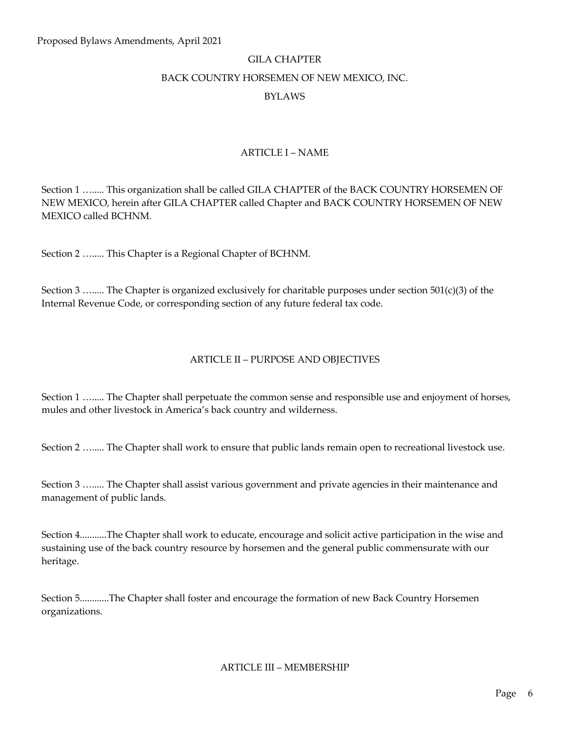# GILA CHAPTER BACK COUNTRY HORSEMEN OF NEW MEXICO, INC. BYLAWS

## ARTICLE I – NAME

Section 1 …..... This organization shall be called GILA CHAPTER of the BACK COUNTRY HORSEMEN OF NEW MEXICO, herein after GILA CHAPTER called Chapter and BACK COUNTRY HORSEMEN OF NEW MEXICO called BCHNM.

Section 2 ........ This Chapter is a Regional Chapter of BCHNM.

Section 3 …..... The Chapter is organized exclusively for charitable purposes under section 501(c)(3) of the Internal Revenue Code, or corresponding section of any future federal tax code.

#### ARTICLE II – PURPOSE AND OBJECTIVES

Section 1 …..... The Chapter shall perpetuate the common sense and responsible use and enjoyment of horses, mules and other livestock in America's back country and wilderness.

Section 2 …..... The Chapter shall work to ensure that public lands remain open to recreational livestock use.

Section 3 …..... The Chapter shall assist various government and private agencies in their maintenance and management of public lands.

Section 4...........The Chapter shall work to educate, encourage and solicit active participation in the wise and sustaining use of the back country resource by horsemen and the general public commensurate with our heritage.

Section 5............The Chapter shall foster and encourage the formation of new Back Country Horsemen organizations.

ARTICLE III – MEMBERSHIP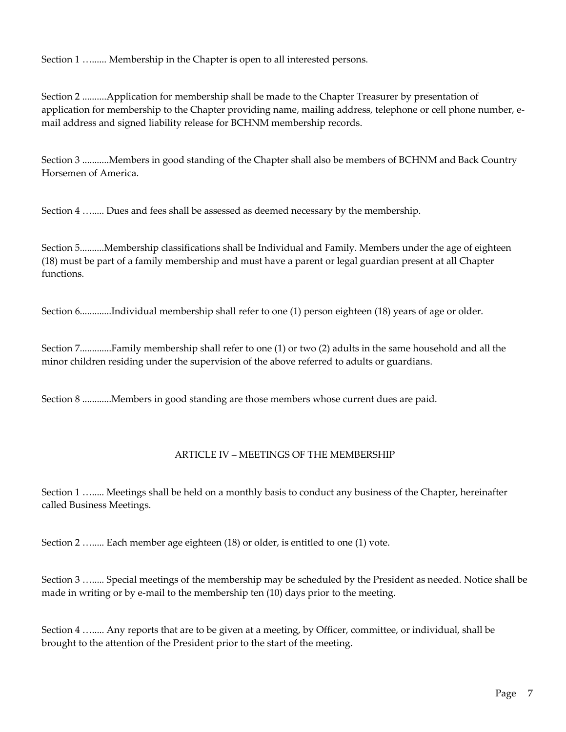Section 1 …...... Membership in the Chapter is open to all interested persons.

Section 2 ..........Application for membership shall be made to the Chapter Treasurer by presentation of application for membership to the Chapter providing name, mailing address, telephone or cell phone number, email address and signed liability release for BCHNM membership records.

Section 3 ...........Members in good standing of the Chapter shall also be members of BCHNM and Back Country Horsemen of America.

Section 4 …..... Dues and fees shall be assessed as deemed necessary by the membership.

Section 5..........Membership classifications shall be Individual and Family. Members under the age of eighteen (18) must be part of a family membership and must have a parent or legal guardian present at all Chapter functions.

Section 6.............Individual membership shall refer to one (1) person eighteen (18) years of age or older.

Section 7.............Family membership shall refer to one (1) or two (2) adults in the same household and all the minor children residing under the supervision of the above referred to adults or guardians.

Section 8 ............Members in good standing are those members whose current dues are paid.

## ARTICLE IV – MEETINGS OF THE MEMBERSHIP

Section 1 …..... Meetings shall be held on a monthly basis to conduct any business of the Chapter, hereinafter called Business Meetings.

Section 2 …..... Each member age eighteen (18) or older, is entitled to one (1) vote.

Section 3 …..... Special meetings of the membership may be scheduled by the President as needed. Notice shall be made in writing or by e-mail to the membership ten (10) days prior to the meeting.

Section 4 …..... Any reports that are to be given at a meeting, by Officer, committee, or individual, shall be brought to the attention of the President prior to the start of the meeting.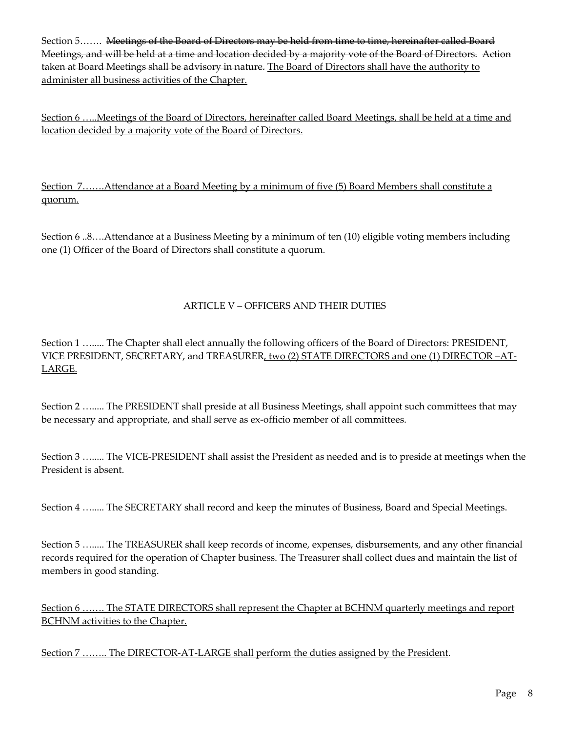Section 5……. Meetings of the Board of Directors may be held from time to time, hereinafter called Board Meetings, and will be held at a time and location decided by a majority vote of the Board of Directors. Action taken at Board Meetings shall be advisory in nature. The Board of Directors shall have the authority to administer all business activities of the Chapter.

Section 6 …..Meetings of the Board of Directors, hereinafter called Board Meetings, shall be held at a time and location decided by a majority vote of the Board of Directors.

Section 7.......Attendance at a Board Meeting by a minimum of five (5) Board Members shall constitute a quorum.

Section 6 ..8….Attendance at a Business Meeting by a minimum of ten (10) eligible voting members including one (1) Officer of the Board of Directors shall constitute a quorum.

## ARTICLE V – OFFICERS AND THEIR DUTIES

Section 1 …..... The Chapter shall elect annually the following officers of the Board of Directors: PRESIDENT, VICE PRESIDENT, SECRETARY, and TREASURER, two (2) STATE DIRECTORS and one (1) DIRECTOR -AT-LARGE.

Section 2 …..... The PRESIDENT shall preside at all Business Meetings, shall appoint such committees that may be necessary and appropriate, and shall serve as ex-officio member of all committees.

Section 3 …..... The VICE-PRESIDENT shall assist the President as needed and is to preside at meetings when the President is absent.

Section 4 …..... The SECRETARY shall record and keep the minutes of Business, Board and Special Meetings.

Section 5 …..... The TREASURER shall keep records of income, expenses, disbursements, and any other financial records required for the operation of Chapter business. The Treasurer shall collect dues and maintain the list of members in good standing.

Section 6 ....... The STATE DIRECTORS shall represent the Chapter at BCHNM quarterly meetings and report **BCHNM** activities to the Chapter.

Section 7 …….. The DIRECTOR-AT-LARGE shall perform the duties assigned by the President.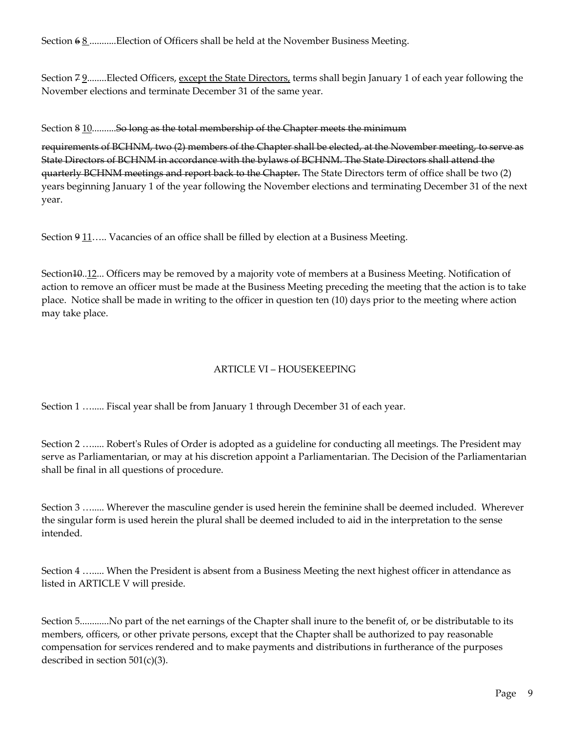Section 68 ...........Election of Officers shall be held at the November Business Meeting.

Section 7 9........Elected Officers, except the State Directors, terms shall begin January 1 of each year following the November elections and terminate December 31 of the same year.

Section 8 10..........So long as the total membership of the Chapter meets the minimum

requirements of BCHNM, two (2) members of the Chapter shall be elected, at the November meeting, to serve as State Directors of BCHNM in accordance with the bylaws of BCHNM. The State Directors shall attend the quarterly BCHNM meetings and report back to the Chapter. The State Directors term of office shall be two (2) years beginning January 1 of the year following the November elections and terminating December 31 of the next year.

Section  $911...$  Vacancies of an office shall be filled by election at a Business Meeting.

Section 10..12... Officers may be removed by a majority vote of members at a Business Meeting. Notification of action to remove an officer must be made at the Business Meeting preceding the meeting that the action is to take place. Notice shall be made in writing to the officer in question ten (10) days prior to the meeting where action may take place.

## ARTICLE VI – HOUSEKEEPING

Section 1 …..... Fiscal year shall be from January 1 through December 31 of each year.

Section 2 …..... Robert's Rules of Order is adopted as a guideline for conducting all meetings. The President may serve as Parliamentarian, or may at his discretion appoint a Parliamentarian. The Decision of the Parliamentarian shall be final in all questions of procedure.

Section 3 …..... Wherever the masculine gender is used herein the feminine shall be deemed included. Wherever the singular form is used herein the plural shall be deemed included to aid in the interpretation to the sense intended.

Section 4 …..... When the President is absent from a Business Meeting the next highest officer in attendance as listed in ARTICLE V will preside.

Section 5............No part of the net earnings of the Chapter shall inure to the benefit of, or be distributable to its members, officers, or other private persons, except that the Chapter shall be authorized to pay reasonable compensation for services rendered and to make payments and distributions in furtherance of the purposes described in section 501(c)(3).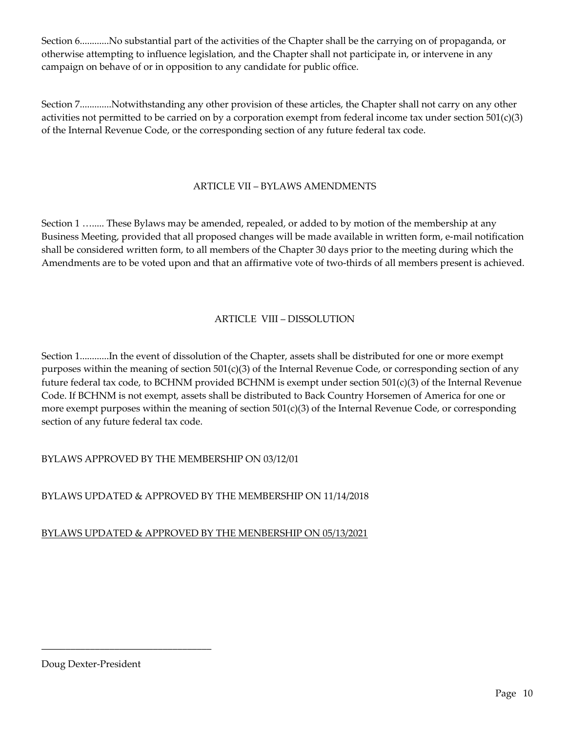Section 6............No substantial part of the activities of the Chapter shall be the carrying on of propaganda, or otherwise attempting to influence legislation, and the Chapter shall not participate in, or intervene in any campaign on behave of or in opposition to any candidate for public office.

Section 7.............Notwithstanding any other provision of these articles, the Chapter shall not carry on any other activities not permitted to be carried on by a corporation exempt from federal income tax under section  $501(c)(3)$ of the Internal Revenue Code, or the corresponding section of any future federal tax code.

## ARTICLE VII – BYLAWS AMENDMENTS

Section 1 …..... These Bylaws may be amended, repealed, or added to by motion of the membership at any Business Meeting, provided that all proposed changes will be made available in written form, e-mail notification shall be considered written form, to all members of the Chapter 30 days prior to the meeting during which the Amendments are to be voted upon and that an affirmative vote of two-thirds of all members present is achieved.

## ARTICLE VIII – DISSOLUTION

Section 1............In the event of dissolution of the Chapter, assets shall be distributed for one or more exempt purposes within the meaning of section 501(c)(3) of the Internal Revenue Code, or corresponding section of any future federal tax code, to BCHNM provided BCHNM is exempt under section 501(c)(3) of the Internal Revenue Code. If BCHNM is not exempt, assets shall be distributed to Back Country Horsemen of America for one or more exempt purposes within the meaning of section 501(c)(3) of the Internal Revenue Code, or corresponding section of any future federal tax code.

## BYLAWS APPROVED BY THE MEMBERSHIP ON 03/12/01

## BYLAWS UPDATED & APPROVED BY THE MEMBERSHIP ON 11/14/2018

## BYLAWS UPDATED & APPROVED BY THE MENBERSHIP ON 05/13/2021

\_\_\_\_\_\_\_\_\_\_\_\_\_\_\_\_\_\_\_\_\_\_\_\_\_\_\_\_\_\_\_\_\_\_\_

Doug Dexter-President